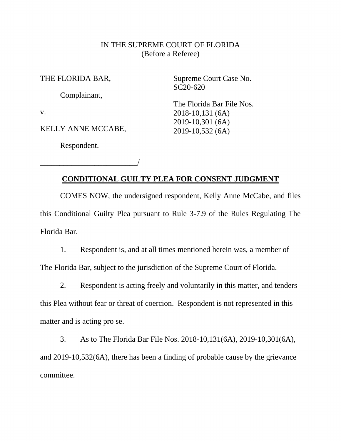## IN THE SUPREME COURT OF FLORIDA (Before a Referee)

THE FLORIDA BAR,

Complainant,

v.

KELLY ANNE MCCABE,

Respondent.

\_\_\_\_\_\_\_\_\_\_\_\_\_\_\_\_\_\_\_\_\_\_\_\_\_/

Supreme Court Case No. SC20-620

The Florida Bar File Nos. 2018-10,131 (6A) 2019-10,301 (6A) 2019-10,532 (6A)

## **CONDITIONAL GUILTY PLEA FOR CONSENT JUDGMENT**

COMES NOW, the undersigned respondent, Kelly Anne McCabe, and files this Conditional Guilty Plea pursuant to Rule 3-7.9 of the Rules Regulating The Florida Bar.

1. Respondent is, and at all times mentioned herein was, a member of The Florida Bar, subject to the jurisdiction of the Supreme Court of Florida.

2. Respondent is acting freely and voluntarily in this matter, and tenders this Plea without fear or threat of coercion. Respondent is not represented in this matter and is acting pro se.

3. As to The Florida Bar File Nos. 2018-10,131(6A), 2019-10,301(6A), and 2019-10,532(6A), there has been a finding of probable cause by the grievance committee.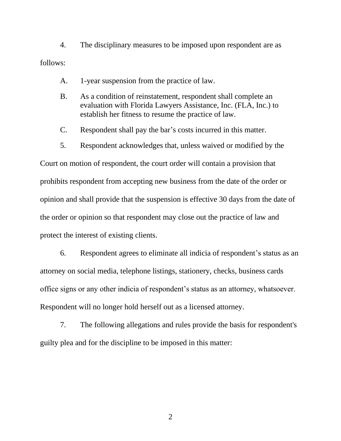4. The disciplinary measures to be imposed upon respondent are as follows:

- A. 1-year suspension from the practice of law.
- B. As a condition of reinstatement, respondent shall complete an evaluation with Florida Lawyers Assistance, Inc. (FLA, Inc.) to establish her fitness to resume the practice of law.
- C. Respondent shall pay the bar's costs incurred in this matter.
- 5. Respondent acknowledges that, unless waived or modified by the

Court on motion of respondent, the court order will contain a provision that prohibits respondent from accepting new business from the date of the order or opinion and shall provide that the suspension is effective 30 days from the date of the order or opinion so that respondent may close out the practice of law and protect the interest of existing clients.

6. Respondent agrees to eliminate all indicia of respondent's status as an attorney on social media, telephone listings, stationery, checks, business cards office signs or any other indicia of respondent's status as an attorney, whatsoever. Respondent will no longer hold herself out as a licensed attorney.

7. The following allegations and rules provide the basis for respondent's guilty plea and for the discipline to be imposed in this matter:

2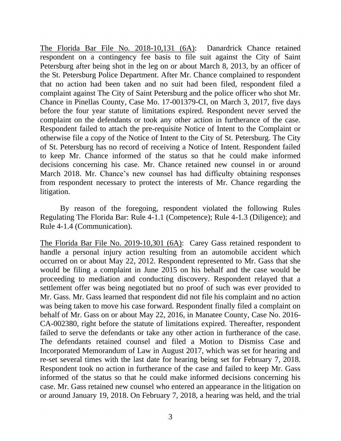The Florida Bar File No. 2018-10,131 (6A): Danardrick Chance retained respondent on a contingency fee basis to file suit against the City of Saint Petersburg after being shot in the leg on or about March 8, 2013, by an officer of the St. Petersburg Police Department. After Mr. Chance complained to respondent that no action had been taken and no suit had been filed, respondent filed a complaint against The City of Saint Petersburg and the police officer who shot Mr. Chance in Pinellas County, Case Mo. 17-001379-CI, on March 3, 2017, five days before the four year statute of limitations expired. Respondent never served the complaint on the defendants or took any other action in furtherance of the case. Respondent failed to attach the pre-requisite Notice of Intent to the Complaint or otherwise file a copy of the Notice of Intent to the City of St. Petersburg. The City of St. Petersburg has no record of receiving a Notice of Intent. Respondent failed to keep Mr. Chance informed of the status so that he could make informed decisions concerning his case. Mr. Chance retained new counsel in or around March 2018. Mr. Chance's new counsel has had difficulty obtaining responses from respondent necessary to protect the interests of Mr. Chance regarding the litigation.

By reason of the foregoing, respondent violated the following Rules Regulating The Florida Bar: Rule 4-1.1 (Competence); Rule 4-1.3 (Diligence); and Rule 4-1.4 (Communication).

The Florida Bar File No. 2019-10,301 (6A): Carey Gass retained respondent to handle a personal injury action resulting from an automobile accident which occurred on or about May 22, 2012. Respondent represented to Mr. Gass that she would be filing a complaint in June 2015 on his behalf and the case would be proceeding to mediation and conducting discovery. Respondent relayed that a settlement offer was being negotiated but no proof of such was ever provided to Mr. Gass. Mr. Gass learned that respondent did not file his complaint and no action was being taken to move his case forward. Respondent finally filed a complaint on behalf of Mr. Gass on or about May 22, 2016, in Manatee County, Case No. 2016- CA-002380, right before the statute of limitations expired. Thereafter, respondent failed to serve the defendants or take any other action in furtherance of the case. The defendants retained counsel and filed a Motion to Dismiss Case and Incorporated Memorandum of Law in August 2017, which was set for hearing and re-set several times with the last date for hearing being set for February 7, 2018. Respondent took no action in furtherance of the case and failed to keep Mr. Gass informed of the status so that he could make informed decisions concerning his case. Mr. Gass retained new counsel who entered an appearance in the litigation on or around January 19, 2018. On February 7, 2018, a hearing was held, and the trial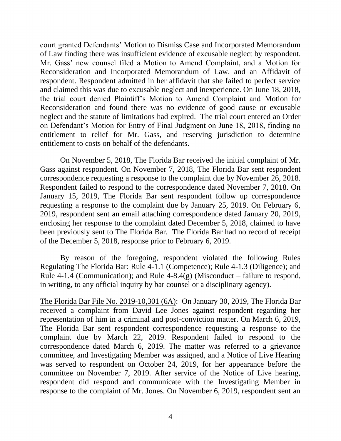court granted Defendants' Motion to Dismiss Case and Incorporated Memorandum of Law finding there was insufficient evidence of excusable neglect by respondent. Mr. Gass' new counsel filed a Motion to Amend Complaint, and a Motion for Reconsideration and Incorporated Memorandum of Law, and an Affidavit of respondent. Respondent admitted in her affidavit that she failed to perfect service and claimed this was due to excusable neglect and inexperience. On June 18, 2018, the trial court denied Plaintiff's Motion to Amend Complaint and Motion for Reconsideration and found there was no evidence of good cause or excusable neglect and the statute of limitations had expired. The trial court entered an Order on Defendant's Motion for Entry of Final Judgment on June 18, 2018, finding no entitlement to relief for Mr. Gass, and reserving jurisdiction to determine entitlement to costs on behalf of the defendants.

On November 5, 2018, The Florida Bar received the initial complaint of Mr. Gass against respondent. On November 7, 2018, The Florida Bar sent respondent correspondence requesting a response to the complaint due by November 26, 2018. Respondent failed to respond to the correspondence dated November 7, 2018. On January 15, 2019, The Florida Bar sent respondent follow up correspondence requesting a response to the complaint due by January 25, 2019. On February 6, 2019, respondent sent an email attaching correspondence dated January 20, 2019, enclosing her response to the complaint dated December 5, 2018, claimed to have been previously sent to The Florida Bar. The Florida Bar had no record of receipt of the December 5, 2018, response prior to February 6, 2019.

By reason of the foregoing, respondent violated the following Rules Regulating The Florida Bar: Rule 4-1.1 (Competence); Rule 4-1.3 (Diligence); and Rule 4-1.4 (Communication); and Rule  $4-8.4(g)$  (Misconduct – failure to respond, in writing, to any official inquiry by bar counsel or a disciplinary agency).

The Florida Bar File No. 2019-10,301 (6A): On January 30, 2019, The Florida Bar received a complaint from David Lee Jones against respondent regarding her representation of him in a criminal and post-conviction matter. On March 6, 2019, The Florida Bar sent respondent correspondence requesting a response to the complaint due by March 22, 2019. Respondent failed to respond to the correspondence dated March 6, 2019. The matter was referred to a grievance committee, and Investigating Member was assigned, and a Notice of Live Hearing was served to respondent on October 24, 2019, for her appearance before the committee on November 7, 2019. After service of the Notice of Live hearing, respondent did respond and communicate with the Investigating Member in response to the complaint of Mr. Jones. On November 6, 2019, respondent sent an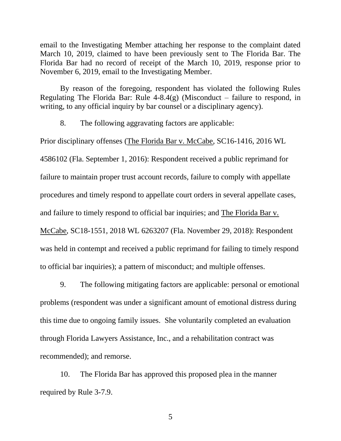email to the Investigating Member attaching her response to the complaint dated March 10, 2019, claimed to have been previously sent to The Florida Bar. The Florida Bar had no record of receipt of the March 10, 2019, response prior to November 6, 2019, email to the Investigating Member.

By reason of the foregoing, respondent has violated the following Rules Regulating The Florida Bar: Rule  $4-8.4(g)$  (Misconduct – failure to respond, in writing, to any official inquiry by bar counsel or a disciplinary agency).

8. The following aggravating factors are applicable:

Prior disciplinary offenses (The Florida Bar v. McCabe, SC16-1416, 2016 WL 4586102 (Fla. September 1, 2016): Respondent received a public reprimand for failure to maintain proper trust account records, failure to comply with appellate procedures and timely respond to appellate court orders in several appellate cases, and failure to timely respond to official bar inquiries; and The Florida Bar v. McCabe, SC18-1551, 2018 WL 6263207 (Fla. November 29, 2018): Respondent was held in contempt and received a public reprimand for failing to timely respond to official bar inquiries); a pattern of misconduct; and multiple offenses.

9. The following mitigating factors are applicable: personal or emotional problems (respondent was under a significant amount of emotional distress during this time due to ongoing family issues. She voluntarily completed an evaluation through Florida Lawyers Assistance, Inc., and a rehabilitation contract was recommended); and remorse.

10. The Florida Bar has approved this proposed plea in the manner required by Rule 3-7.9.

5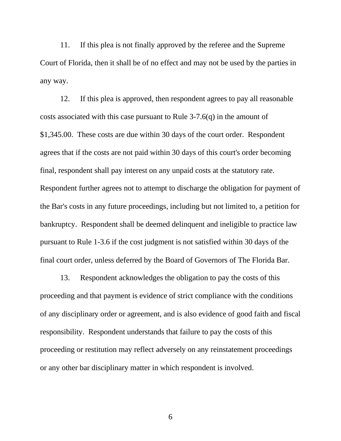11. If this plea is not finally approved by the referee and the Supreme Court of Florida, then it shall be of no effect and may not be used by the parties in any way.

12. If this plea is approved, then respondent agrees to pay all reasonable costs associated with this case pursuant to Rule 3-7.6(q) in the amount of \$1,345.00. These costs are due within 30 days of the court order. Respondent agrees that if the costs are not paid within 30 days of this court's order becoming final, respondent shall pay interest on any unpaid costs at the statutory rate. Respondent further agrees not to attempt to discharge the obligation for payment of the Bar's costs in any future proceedings, including but not limited to, a petition for bankruptcy. Respondent shall be deemed delinquent and ineligible to practice law pursuant to Rule 1-3.6 if the cost judgment is not satisfied within 30 days of the final court order, unless deferred by the Board of Governors of The Florida Bar.

13. Respondent acknowledges the obligation to pay the costs of this proceeding and that payment is evidence of strict compliance with the conditions of any disciplinary order or agreement, and is also evidence of good faith and fiscal responsibility. Respondent understands that failure to pay the costs of this proceeding or restitution may reflect adversely on any reinstatement proceedings or any other bar disciplinary matter in which respondent is involved.

6